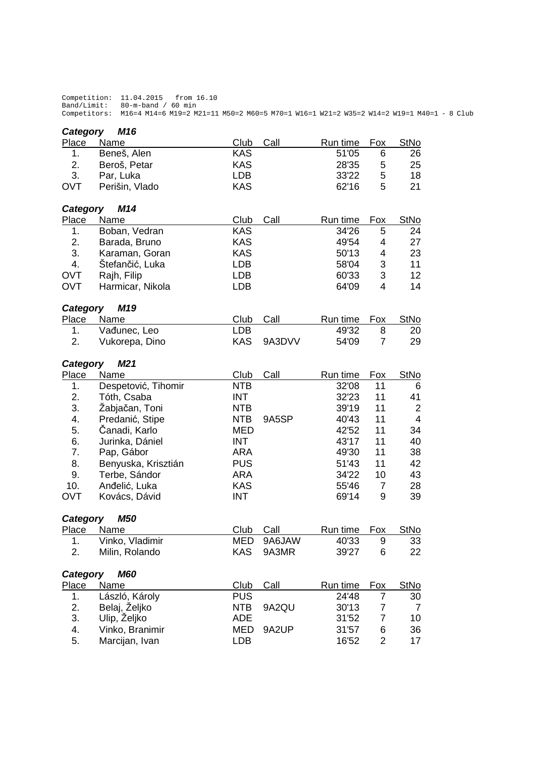Competition: 11.04.2015 from 16.10 Band/Limit: 80-m-band / 60 min Competitors: M16=4 M14=6 M19=2 M21=11 M50=2 M60=5 M70=1 W16=1 W21=2 W35=2 W14=2 W19=1 M40=1 - 8 Club

| M16<br>Category        |                     |                    |        |                   |                |                                  |  |  |  |  |  |  |
|------------------------|---------------------|--------------------|--------|-------------------|----------------|----------------------------------|--|--|--|--|--|--|
| Place                  | Name                | Club               | Call   | Run time          | Fox            | <b>StNo</b>                      |  |  |  |  |  |  |
| 1.                     | Beneš, Alen         | <b>KAS</b>         |        | 51'05             | 6              | 26                               |  |  |  |  |  |  |
| 2.                     | Beroš, Petar        | <b>KAS</b>         |        | 28'35             | 5              | 25                               |  |  |  |  |  |  |
| 3.                     | Par, Luka           | <b>LDB</b>         |        | 33'22             | 5              | 18                               |  |  |  |  |  |  |
| <b>OVT</b>             | Perišin, Vlado      | <b>KAS</b>         |        | 62'16             | 5              | 21                               |  |  |  |  |  |  |
| M14<br>Category        |                     |                    |        |                   |                |                                  |  |  |  |  |  |  |
| <b>Place</b>           | Name                | Club               | Call   | Run time          | Fox            | <b>StNo</b>                      |  |  |  |  |  |  |
| 1.                     | Boban, Vedran       | <b>KAS</b>         |        | 34'26             | 5              | 24                               |  |  |  |  |  |  |
| 2.                     | Barada, Bruno       | <b>KAS</b>         |        | 49'54             | 4              | 27                               |  |  |  |  |  |  |
| 3.                     | Karaman, Goran      | <b>KAS</b>         |        | 50'13             | 4              | 23                               |  |  |  |  |  |  |
| 4.                     | Štefančić, Luka     | <b>LDB</b>         |        | 58'04             | 3              | 11                               |  |  |  |  |  |  |
| <b>OVT</b>             | Rajh, Filip         | <b>LDB</b>         |        | 60'33             | 3              | 12                               |  |  |  |  |  |  |
| <b>OVT</b>             | Harmicar, Nikola    | <b>LDB</b>         |        | 64'09             | $\overline{4}$ | 14                               |  |  |  |  |  |  |
| M19<br>Category        |                     |                    |        |                   |                |                                  |  |  |  |  |  |  |
| Place                  | Name                | Club               | Call   | Run time          | <b>Fox</b>     | <b>StNo</b>                      |  |  |  |  |  |  |
| 1.                     | Vađunec, Leo        | <b>LDB</b>         |        | 49'32             | 8              | 20                               |  |  |  |  |  |  |
| 2.                     | Vukorepa, Dino      | <b>KAS</b>         | 9A3DVV | 54'09             | $\overline{7}$ | 29                               |  |  |  |  |  |  |
|                        |                     |                    |        |                   |                |                                  |  |  |  |  |  |  |
| Category               | M <sub>21</sub>     |                    |        |                   |                |                                  |  |  |  |  |  |  |
| Place                  | Name                | Club<br><b>NTB</b> | Call   | Run time<br>32'08 | Fox            | <b>StNo</b>                      |  |  |  |  |  |  |
| 1.                     | Despetović, Tihomir |                    |        |                   | 11             | 6                                |  |  |  |  |  |  |
| 2.                     | Tóth, Csaba         | <b>INT</b>         |        | 32'23             | 11             | 41                               |  |  |  |  |  |  |
| 3.                     | Žabjačan, Toni      | <b>NTB</b>         |        | 39'19             | 11             | $\overline{2}$<br>$\overline{4}$ |  |  |  |  |  |  |
| 4.                     | Predanić, Stipe     | <b>NTB</b>         | 9A5SP  | 40'43             | 11             |                                  |  |  |  |  |  |  |
| 5.                     | Čanadi, Karlo       | <b>MED</b>         |        | 42'52             | 11             | 34                               |  |  |  |  |  |  |
| 6.                     | Jurinka, Dániel     | <b>INT</b>         |        | 43'17             | 11             | 40                               |  |  |  |  |  |  |
| 7.                     | Pap, Gábor          | <b>ARA</b>         |        | 49'30             | 11             | 38                               |  |  |  |  |  |  |
| 8.                     | Benyuska, Krisztián | <b>PUS</b>         |        | 51'43             | 11             | 42                               |  |  |  |  |  |  |
| 9.                     | Terbe, Sándor       | <b>ARA</b>         |        | 34'22             | 10             | 43                               |  |  |  |  |  |  |
| 10.                    | Anđelić, Luka       | <b>KAS</b>         |        | 55'46             | $\overline{7}$ | 28                               |  |  |  |  |  |  |
| <b>OVT</b>             | Kovács, Dávid       | <b>INT</b>         |        | 69'14             | 9              | 39                               |  |  |  |  |  |  |
| Category               | <b>M50</b>          |                    |        |                   |                |                                  |  |  |  |  |  |  |
| <u>Place</u>           | <u>Name</u>         | Club               | Call   | Run time          | Fox            | <b>StNo</b>                      |  |  |  |  |  |  |
| 1.                     | Vinko, Vladimir     | <b>MED</b>         | 9A6JAW | 40'33             | 9              | 33                               |  |  |  |  |  |  |
| 2.                     | Milin, Rolando      | <b>KAS</b>         | 9A3MR  | 39'27             | 6              | 22                               |  |  |  |  |  |  |
| <b>M60</b><br>Category |                     |                    |        |                   |                |                                  |  |  |  |  |  |  |
| <b>Place</b>           | Name                | Club               | Call   | Run time          | <u>Fox</u>     | <b>StNo</b>                      |  |  |  |  |  |  |
| 1.                     | László, Károly      | <b>PUS</b>         |        | 24'48             | 7              | 30                               |  |  |  |  |  |  |
| 2.                     | Belaj, Željko       | <b>NTB</b>         | 9A2QU  | 30'13             | 7              | 7                                |  |  |  |  |  |  |
| 3.                     | Ulip, Željko        | ADE                |        | 31'52             | 7              | 10                               |  |  |  |  |  |  |
| 4.                     | Vinko, Branimir     | MED                | 9A2UP  | 31'57             | 6              | 36                               |  |  |  |  |  |  |
| 5.                     | Marcijan, Ivan      | <b>LDB</b>         |        | 16'52             | $\overline{c}$ | 17                               |  |  |  |  |  |  |